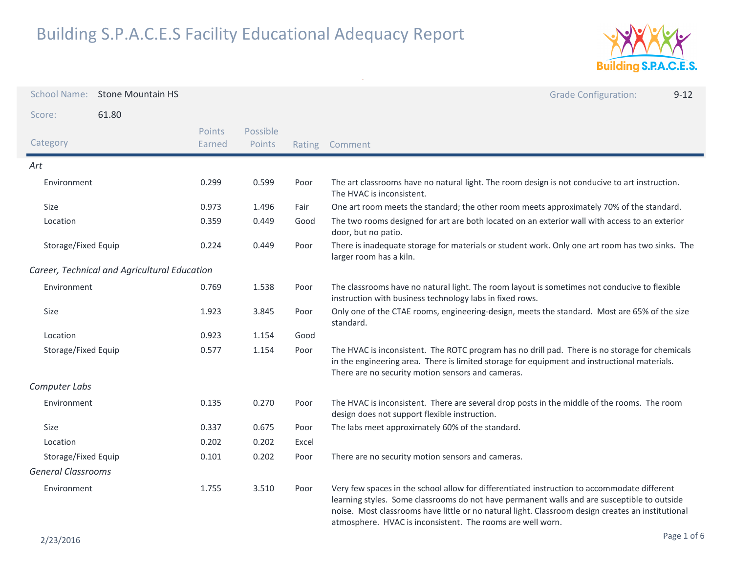

| <b>School Name:</b>       | <b>Stone Mountain HS</b>                     |                  |                    |       | <b>Grade Configuration:</b><br>$9 - 12$                                                                                                                                                                                                                                                                                                                       |
|---------------------------|----------------------------------------------|------------------|--------------------|-------|---------------------------------------------------------------------------------------------------------------------------------------------------------------------------------------------------------------------------------------------------------------------------------------------------------------------------------------------------------------|
| Score:                    | 61.80                                        |                  |                    |       |                                                                                                                                                                                                                                                                                                                                                               |
| Category                  |                                              | Points<br>Earned | Possible<br>Points |       | Rating Comment                                                                                                                                                                                                                                                                                                                                                |
| Art                       |                                              |                  |                    |       |                                                                                                                                                                                                                                                                                                                                                               |
| Environment               |                                              | 0.299            | 0.599              | Poor  | The art classrooms have no natural light. The room design is not conducive to art instruction.<br>The HVAC is inconsistent.                                                                                                                                                                                                                                   |
| Size                      |                                              | 0.973            | 1.496              | Fair  | One art room meets the standard; the other room meets approximately 70% of the standard.                                                                                                                                                                                                                                                                      |
| Location                  |                                              | 0.359            | 0.449              | Good  | The two rooms designed for art are both located on an exterior wall with access to an exterior<br>door, but no patio.                                                                                                                                                                                                                                         |
| Storage/Fixed Equip       |                                              | 0.224            | 0.449              | Poor  | There is inadequate storage for materials or student work. Only one art room has two sinks. The<br>larger room has a kiln.                                                                                                                                                                                                                                    |
|                           | Career, Technical and Agricultural Education |                  |                    |       |                                                                                                                                                                                                                                                                                                                                                               |
| Environment               |                                              | 0.769            | 1.538              | Poor  | The classrooms have no natural light. The room layout is sometimes not conducive to flexible<br>instruction with business technology labs in fixed rows.                                                                                                                                                                                                      |
| Size                      |                                              | 1.923            | 3.845              | Poor  | Only one of the CTAE rooms, engineering-design, meets the standard. Most are 65% of the size<br>standard.                                                                                                                                                                                                                                                     |
| Location                  |                                              | 0.923            | 1.154              | Good  |                                                                                                                                                                                                                                                                                                                                                               |
| Storage/Fixed Equip       |                                              | 0.577            | 1.154              | Poor  | The HVAC is inconsistent. The ROTC program has no drill pad. There is no storage for chemicals<br>in the engineering area. There is limited storage for equipment and instructional materials.<br>There are no security motion sensors and cameras.                                                                                                           |
| Computer Labs             |                                              |                  |                    |       |                                                                                                                                                                                                                                                                                                                                                               |
| Environment               |                                              | 0.135            | 0.270              | Poor  | The HVAC is inconsistent. There are several drop posts in the middle of the rooms. The room<br>design does not support flexible instruction.                                                                                                                                                                                                                  |
| Size                      |                                              | 0.337            | 0.675              | Poor  | The labs meet approximately 60% of the standard.                                                                                                                                                                                                                                                                                                              |
| Location                  |                                              | 0.202            | 0.202              | Excel |                                                                                                                                                                                                                                                                                                                                                               |
| Storage/Fixed Equip       |                                              | 0.101            | 0.202              | Poor  | There are no security motion sensors and cameras.                                                                                                                                                                                                                                                                                                             |
| <b>General Classrooms</b> |                                              |                  |                    |       |                                                                                                                                                                                                                                                                                                                                                               |
| Environment               |                                              | 1.755            | 3.510              | Poor  | Very few spaces in the school allow for differentiated instruction to accommodate different<br>learning styles. Some classrooms do not have permanent walls and are susceptible to outside<br>noise. Most classrooms have little or no natural light. Classroom design creates an institutional<br>atmosphere. HVAC is inconsistent. The rooms are well worn. |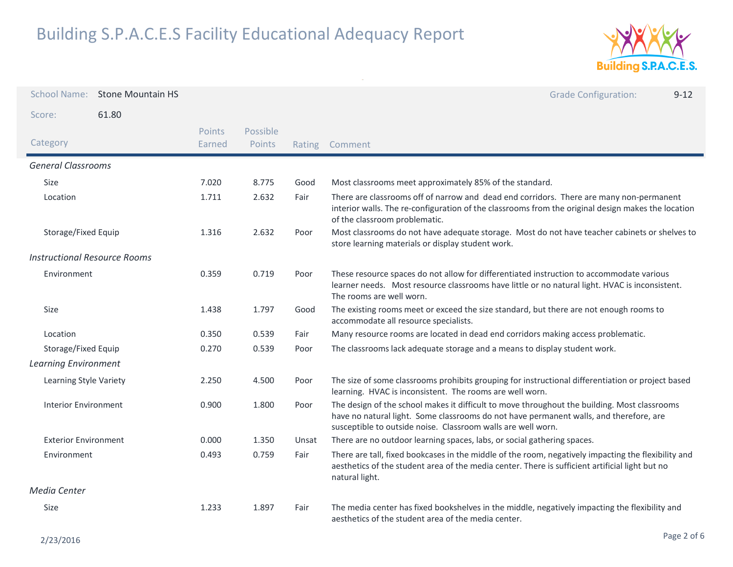

| <b>School Name:</b>                 | <b>Stone Mountain HS</b> |                  |                    |       | <b>Grade Configuration:</b><br>$9 - 12$                                                                                                                                                                                                                |
|-------------------------------------|--------------------------|------------------|--------------------|-------|--------------------------------------------------------------------------------------------------------------------------------------------------------------------------------------------------------------------------------------------------------|
| Score:                              | 61.80                    |                  |                    |       |                                                                                                                                                                                                                                                        |
| Category                            |                          | Points<br>Earned | Possible<br>Points |       | Rating Comment                                                                                                                                                                                                                                         |
| <b>General Classrooms</b>           |                          |                  |                    |       |                                                                                                                                                                                                                                                        |
| Size                                |                          | 7.020            | 8.775              | Good  | Most classrooms meet approximately 85% of the standard.                                                                                                                                                                                                |
| Location                            |                          | 1.711            | 2.632              | Fair  | There are classrooms off of narrow and dead end corridors. There are many non-permanent<br>interior walls. The re-configuration of the classrooms from the original design makes the location<br>of the classroom problematic.                         |
| Storage/Fixed Equip                 |                          | 1.316            | 2.632              | Poor  | Most classrooms do not have adequate storage. Most do not have teacher cabinets or shelves to<br>store learning materials or display student work.                                                                                                     |
| <b>Instructional Resource Rooms</b> |                          |                  |                    |       |                                                                                                                                                                                                                                                        |
| Environment                         |                          | 0.359            | 0.719              | Poor  | These resource spaces do not allow for differentiated instruction to accommodate various<br>learner needs. Most resource classrooms have little or no natural light. HVAC is inconsistent.<br>The rooms are well worn.                                 |
| <b>Size</b>                         |                          | 1.438            | 1.797              | Good  | The existing rooms meet or exceed the size standard, but there are not enough rooms to<br>accommodate all resource specialists.                                                                                                                        |
| Location                            |                          | 0.350            | 0.539              | Fair  | Many resource rooms are located in dead end corridors making access problematic.                                                                                                                                                                       |
| Storage/Fixed Equip                 |                          | 0.270            | 0.539              | Poor  | The classrooms lack adequate storage and a means to display student work.                                                                                                                                                                              |
| <b>Learning Environment</b>         |                          |                  |                    |       |                                                                                                                                                                                                                                                        |
| Learning Style Variety              |                          | 2.250            | 4.500              | Poor  | The size of some classrooms prohibits grouping for instructional differentiation or project based<br>learning. HVAC is inconsistent. The rooms are well worn.                                                                                          |
| Interior Environment                |                          | 0.900            | 1.800              | Poor  | The design of the school makes it difficult to move throughout the building. Most classrooms<br>have no natural light. Some classrooms do not have permanent walls, and therefore, are<br>susceptible to outside noise. Classroom walls are well worn. |
| <b>Exterior Environment</b>         |                          | 0.000            | 1.350              | Unsat | There are no outdoor learning spaces, labs, or social gathering spaces.                                                                                                                                                                                |
| Environment                         |                          | 0.493            | 0.759              | Fair  | There are tall, fixed bookcases in the middle of the room, negatively impacting the flexibility and<br>aesthetics of the student area of the media center. There is sufficient artificial light but no<br>natural light.                               |
| Media Center                        |                          |                  |                    |       |                                                                                                                                                                                                                                                        |
| Size                                |                          | 1.233            | 1.897              | Fair  | The media center has fixed bookshelves in the middle, negatively impacting the flexibility and<br>aesthetics of the student area of the media center.                                                                                                  |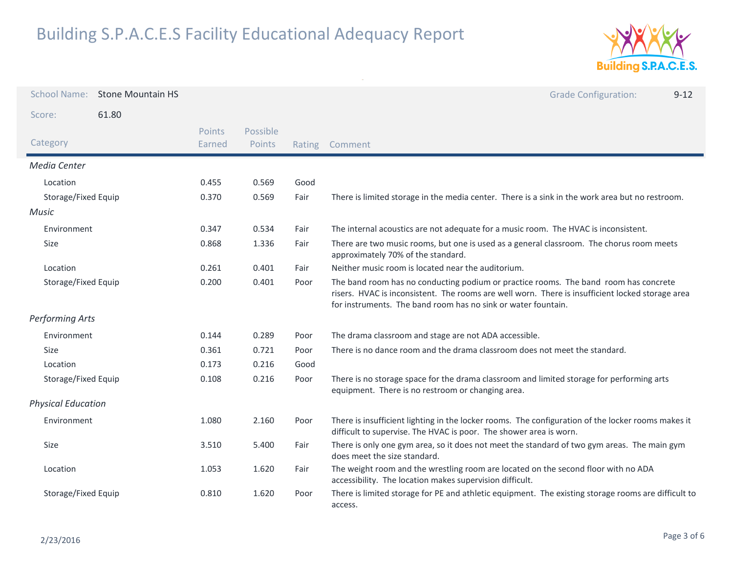

| <b>School Name:</b>       | <b>Stone Mountain HS</b> |                  |                    |        | <b>Grade Configuration:</b><br>$9 - 12$                                                                                                                                                                                                                   |
|---------------------------|--------------------------|------------------|--------------------|--------|-----------------------------------------------------------------------------------------------------------------------------------------------------------------------------------------------------------------------------------------------------------|
| Score:                    | 61.80                    |                  |                    |        |                                                                                                                                                                                                                                                           |
| Category                  |                          | Points<br>Earned | Possible<br>Points | Rating | Comment                                                                                                                                                                                                                                                   |
| Media Center              |                          |                  |                    |        |                                                                                                                                                                                                                                                           |
| Location                  |                          | 0.455            | 0.569              | Good   |                                                                                                                                                                                                                                                           |
| Storage/Fixed Equip       |                          | 0.370            | 0.569              | Fair   | There is limited storage in the media center. There is a sink in the work area but no restroom.                                                                                                                                                           |
| Music                     |                          |                  |                    |        |                                                                                                                                                                                                                                                           |
| Environment               |                          | 0.347            | 0.534              | Fair   | The internal acoustics are not adequate for a music room. The HVAC is inconsistent.                                                                                                                                                                       |
| Size                      |                          | 0.868            | 1.336              | Fair   | There are two music rooms, but one is used as a general classroom. The chorus room meets<br>approximately 70% of the standard.                                                                                                                            |
| Location                  |                          | 0.261            | 0.401              | Fair   | Neither music room is located near the auditorium.                                                                                                                                                                                                        |
| Storage/Fixed Equip       |                          | 0.200            | 0.401              | Poor   | The band room has no conducting podium or practice rooms. The band room has concrete<br>risers. HVAC is inconsistent. The rooms are well worn. There is insufficient locked storage area<br>for instruments. The band room has no sink or water fountain. |
| <b>Performing Arts</b>    |                          |                  |                    |        |                                                                                                                                                                                                                                                           |
| Environment               |                          | 0.144            | 0.289              | Poor   | The drama classroom and stage are not ADA accessible.                                                                                                                                                                                                     |
| Size                      |                          | 0.361            | 0.721              | Poor   | There is no dance room and the drama classroom does not meet the standard.                                                                                                                                                                                |
| Location                  |                          | 0.173            | 0.216              | Good   |                                                                                                                                                                                                                                                           |
| Storage/Fixed Equip       |                          | 0.108            | 0.216              | Poor   | There is no storage space for the drama classroom and limited storage for performing arts<br>equipment. There is no restroom or changing area.                                                                                                            |
| <b>Physical Education</b> |                          |                  |                    |        |                                                                                                                                                                                                                                                           |
| Environment               |                          | 1.080            | 2.160              | Poor   | There is insufficient lighting in the locker rooms. The configuration of the locker rooms makes it<br>difficult to supervise. The HVAC is poor. The shower area is worn.                                                                                  |
| Size                      |                          | 3.510            | 5.400              | Fair   | There is only one gym area, so it does not meet the standard of two gym areas. The main gym<br>does meet the size standard.                                                                                                                               |
| Location                  |                          | 1.053            | 1.620              | Fair   | The weight room and the wrestling room are located on the second floor with no ADA<br>accessibility. The location makes supervision difficult.                                                                                                            |
| Storage/Fixed Equip       |                          | 0.810            | 1.620              | Poor   | There is limited storage for PE and athletic equipment. The existing storage rooms are difficult to<br>access.                                                                                                                                            |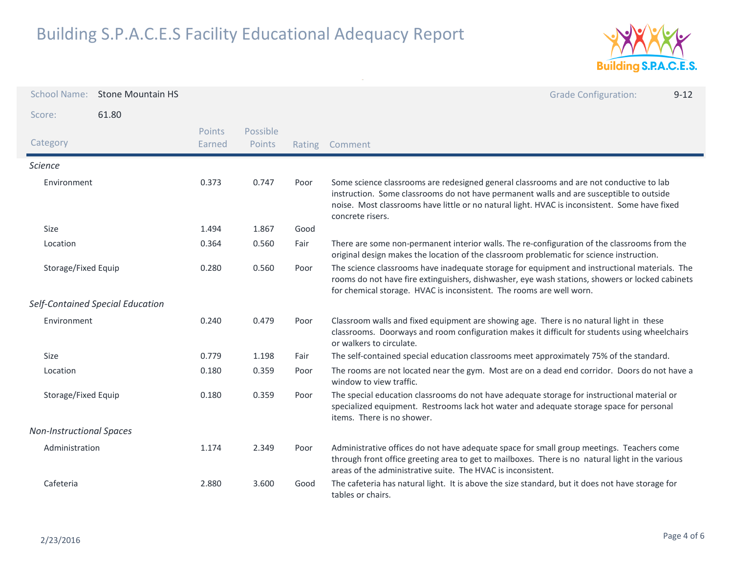

| <b>School Name:</b>              | <b>Stone Mountain HS</b> |                  |                    |        | <b>Grade Configuration:</b><br>$9 - 12$                                                                                                                                                                                                                                                                 |
|----------------------------------|--------------------------|------------------|--------------------|--------|---------------------------------------------------------------------------------------------------------------------------------------------------------------------------------------------------------------------------------------------------------------------------------------------------------|
| Score:                           | 61.80                    |                  |                    |        |                                                                                                                                                                                                                                                                                                         |
| Category                         |                          | Points<br>Earned | Possible<br>Points | Rating | Comment                                                                                                                                                                                                                                                                                                 |
| <b>Science</b>                   |                          |                  |                    |        |                                                                                                                                                                                                                                                                                                         |
| Environment                      |                          | 0.373            | 0.747              | Poor   | Some science classrooms are redesigned general classrooms and are not conductive to lab<br>instruction. Some classrooms do not have permanent walls and are susceptible to outside<br>noise. Most classrooms have little or no natural light. HVAC is inconsistent. Some have fixed<br>concrete risers. |
| Size                             |                          | 1.494            | 1.867              | Good   |                                                                                                                                                                                                                                                                                                         |
| Location                         |                          | 0.364            | 0.560              | Fair   | There are some non-permanent interior walls. The re-configuration of the classrooms from the<br>original design makes the location of the classroom problematic for science instruction.                                                                                                                |
| Storage/Fixed Equip              |                          | 0.280            | 0.560              | Poor   | The science classrooms have inadequate storage for equipment and instructional materials. The<br>rooms do not have fire extinguishers, dishwasher, eye wash stations, showers or locked cabinets<br>for chemical storage. HVAC is inconsistent. The rooms are well worn.                                |
| Self-Contained Special Education |                          |                  |                    |        |                                                                                                                                                                                                                                                                                                         |
| Environment                      |                          | 0.240            | 0.479              | Poor   | Classroom walls and fixed equipment are showing age. There is no natural light in these<br>classrooms. Doorways and room configuration makes it difficult for students using wheelchairs<br>or walkers to circulate.                                                                                    |
| Size                             |                          | 0.779            | 1.198              | Fair   | The self-contained special education classrooms meet approximately 75% of the standard.                                                                                                                                                                                                                 |
| Location                         |                          | 0.180            | 0.359              | Poor   | The rooms are not located near the gym. Most are on a dead end corridor. Doors do not have a<br>window to view traffic.                                                                                                                                                                                 |
| Storage/Fixed Equip              |                          | 0.180            | 0.359              | Poor   | The special education classrooms do not have adequate storage for instructional material or<br>specialized equipment. Restrooms lack hot water and adequate storage space for personal<br>items. There is no shower.                                                                                    |
| <b>Non-Instructional Spaces</b>  |                          |                  |                    |        |                                                                                                                                                                                                                                                                                                         |
| Administration                   |                          | 1.174            | 2.349              | Poor   | Administrative offices do not have adequate space for small group meetings. Teachers come<br>through front office greeting area to get to mailboxes. There is no natural light in the various<br>areas of the administrative suite. The HVAC is inconsistent.                                           |
| Cafeteria                        |                          | 2.880            | 3.600              | Good   | The cafeteria has natural light. It is above the size standard, but it does not have storage for<br>tables or chairs.                                                                                                                                                                                   |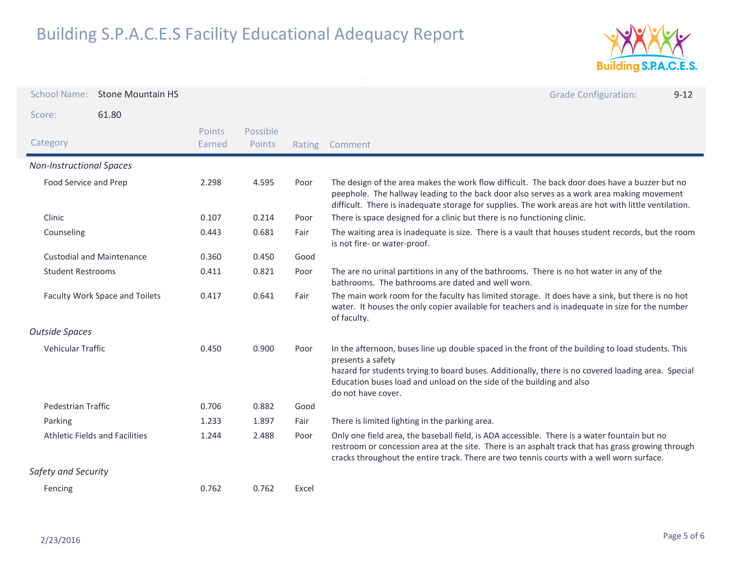

| <b>School Name:</b>                   | <b>Stone Mountain HS</b>         |                  |                    |        | <b>Grade Configuration:</b><br>$9 - 12$                                                                                                                                                                                                                                                                                    |
|---------------------------------------|----------------------------------|------------------|--------------------|--------|----------------------------------------------------------------------------------------------------------------------------------------------------------------------------------------------------------------------------------------------------------------------------------------------------------------------------|
| Score:                                | 61.80                            |                  |                    |        |                                                                                                                                                                                                                                                                                                                            |
| Category                              |                                  | Points<br>Earned | Possible<br>Points | Rating | Comment                                                                                                                                                                                                                                                                                                                    |
| <b>Non-Instructional Spaces</b>       |                                  |                  |                    |        |                                                                                                                                                                                                                                                                                                                            |
| Food Service and Prep                 |                                  | 2.298            | 4.595              | Poor   | The design of the area makes the work flow difficult. The back door does have a buzzer but no<br>peephole. The hallway leading to the back door also serves as a work area making movement<br>difficult. There is inadequate storage for supplies. The work areas are hot with little ventilation.                         |
| Clinic                                |                                  | 0.107            | 0.214              | Poor   | There is space designed for a clinic but there is no functioning clinic.                                                                                                                                                                                                                                                   |
| Counseling                            |                                  | 0.443            | 0.681              | Fair   | The waiting area is inadequate is size. There is a vault that houses student records, but the room<br>is not fire- or water-proof.                                                                                                                                                                                         |
|                                       | <b>Custodial and Maintenance</b> | 0.360            | 0.450              | Good   |                                                                                                                                                                                                                                                                                                                            |
| <b>Student Restrooms</b>              |                                  | 0.411            | 0.821              | Poor   | The are no urinal partitions in any of the bathrooms. There is no hot water in any of the<br>bathrooms. The bathrooms are dated and well worn.                                                                                                                                                                             |
| Faculty Work Space and Toilets        |                                  | 0.417            | 0.641              | Fair   | The main work room for the faculty has limited storage. It does have a sink, but there is no hot<br>water. It houses the only copier available for teachers and is inadequate in size for the number<br>of faculty.                                                                                                        |
| <b>Outside Spaces</b>                 |                                  |                  |                    |        |                                                                                                                                                                                                                                                                                                                            |
| Vehicular Traffic                     |                                  | 0.450            | 0.900              | Poor   | In the afternoon, buses line up double spaced in the front of the building to load students. This<br>presents a safety<br>hazard for students trying to board buses. Additionally, there is no covered loading area. Special<br>Education buses load and unload on the side of the building and also<br>do not have cover. |
| <b>Pedestrian Traffic</b>             |                                  | 0.706            | 0.882              | Good   |                                                                                                                                                                                                                                                                                                                            |
| Parking                               |                                  | 1.233            | 1.897              | Fair   | There is limited lighting in the parking area.                                                                                                                                                                                                                                                                             |
| <b>Athletic Fields and Facilities</b> |                                  | 1.244            | 2.488              | Poor   | Only one field area, the baseball field, is ADA accessible. There is a water fountain but no<br>restroom or concession area at the site. There is an asphalt track that has grass growing through<br>cracks throughout the entire track. There are two tennis courts with a well worn surface.                             |
| Safety and Security                   |                                  |                  |                    |        |                                                                                                                                                                                                                                                                                                                            |
| Fencing                               |                                  | 0.762            | 0.762              | Excel  |                                                                                                                                                                                                                                                                                                                            |